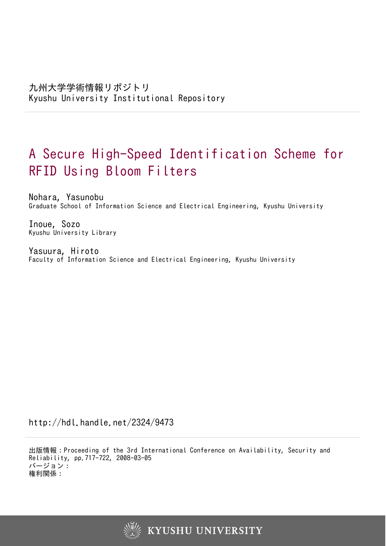# A Secure High-Speed Identification Scheme for RFID Using Bloom Filters

Nohara, Yasunobu Graduate School of Information Science and Electrical Engineering, Kyushu University

Inoue, Sozo Kyushu University Library

Yasuura, Hiroto Faculty of Information Science and Electrical Engineering, Kyushu University

http://hdl.handle.net/2324/9473

出版情報:Proceeding of the 3rd International Conference on Availability, Security and Reliability, pp.717-722, 2008-03-05 バージョン: 権利関係:

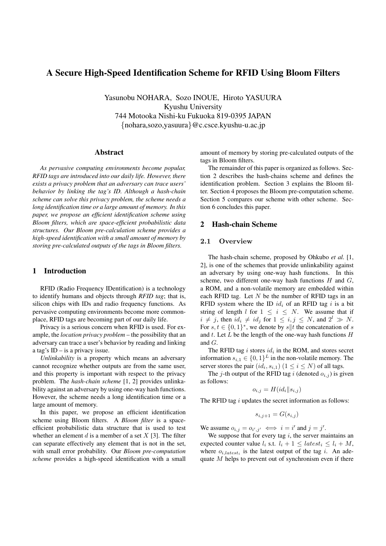## **A Secure High-Speed Identification Scheme for RFID Using Bloom Filters**

Yasunobu NOHARA, Sozo INOUE, Hiroto YASUURA Kyushu University 744 Motooka Nishi-ku Fukuoka 819-0395 JAPAN {nohara,sozo,yasuura}@c.csce.kyushu-u.ac.jp

#### **Abstract**

*As pervasive computing environments become popular, RFID tags are introduced into our daily life. However, there exists a privacy problem that an adversary can trace users' behavior by linking the tag's ID. Although a hash-chain scheme can solve this privacy problem, the scheme needs a long identification time or a large amount of memory. In this paper, we propose an efficient identification scheme using Bloom filters, which are space-efficient probabilistic data structures. Our Bloom pre-calculation scheme provides a high-speed identification with a small amount of memory by storing pre-calculated outputs of the tags in Bloom filters.*

#### **1 Introduction**

RFID (Radio Frequency IDentification) is a technology to identify humans and objects through *RFID tag*; that is, silicon chips with IDs and radio frequency functions. As pervasive computing environments become more commonplace, RFID tags are becoming part of our daily life.

Privacy is a serious concern when RFID is used. For example, the *location privacy problem* – the possibility that an adversary can trace a user's behavior by reading and linking a tag's ID – is a privacy issue.

*Unlinkability* is a property which means an adversary cannot recognize whether outputs are from the same user, and this property is important with respect to the privacy problem. The *hash-chain scheme* [1, 2] provides unlinkability against an adversary by using one-way hash functions. However, the scheme needs a long identification time or a large amount of memory.

In this paper, we propose an efficient identification scheme using Bloom filters. A *Bloom filter* is a spaceefficient probabilistic data structure that is used to test whether an element  $d$  is a member of a set  $X$  [3]. The filter can separate effectively any element that is not in the set, with small error probability. Our *Bloom pre-computation scheme* provides a high-speed identification with a small amount of memory by storing pre-calculated outputs of the tags in Bloom filters.

The remainder of this paper is organized as follows. Section 2 describes the hash-chains scheme and defines the identification problem. Section 3 explains the Bloom filter. Section 4 proposes the Bloom pre-computation scheme. Section 5 compares our scheme with other scheme. Section 6 concludes this paper.

## **2 Hash-chain Scheme**

#### **2.1 Overview**

The hash-chain scheme, proposed by Ohkubo *et al.* [1, 2], is one of the schemes that provide unlinkability against an adversary by using one-way hash functions. In this scheme, two different one-way hash functions  $H$  and  $G$ , a ROM, and a non-volatile memory are embedded within each RFID tag. Let  $N$  be the number of RFID tags in an RFID system where the ID  $id_i$  of an RFID tag i is a bit string of length l for  $1 \leq i \leq N$ . We assume that if  $i \neq j$ , then  $id_i \neq id_j$  for  $1 \leq i, j \leq N$ , and  $2^l \gg N$ .<br>For  $s \neq i \in \{0, 1\}^*$  we denote by  $s^{|j|}$  the concatenation of s For  $s, t \in \{0, 1\}^*$ , we denote by  $s||t$  the concatenation of s and  $t$ . Let  $L$  be the length of the one-way hash functions  $H$ and G.

The RFID tag i stores id*<sup>i</sup>* in the ROM, and stores secret information  $s_{i,1} \in \{0,1\}^L$  in the non-volatile memory. The server stores the pair  $(id_i, s_{i,1})$   $(1 \leq i \leq N)$  of all tags.

The j-th output of the RFID tag i (denoted  $o_{i,j}$ ) is given as follows:

$$
o_{i,j} = H(id_i \| s_{i,j})
$$

The RFID tag  $i$  updates the secret information as follows:

$$
s_{i,j+1} = G(s_{i,j})
$$

We assume  $o_{i,j} = o_{i',j'} \iff i = i'$  and  $j = j'$ .<br>We suppose that for every tag i the server m

We suppose that for every tag  $i$ , the server maintains an expected counter value  $l_i$  s.t.  $l_i + 1 \leq latest_i \leq l_i + M$ , where  $o_{i, latest_i}$  is the latest output of the tag i. An adequate  $M$  helps to prevent out of synchronism even if there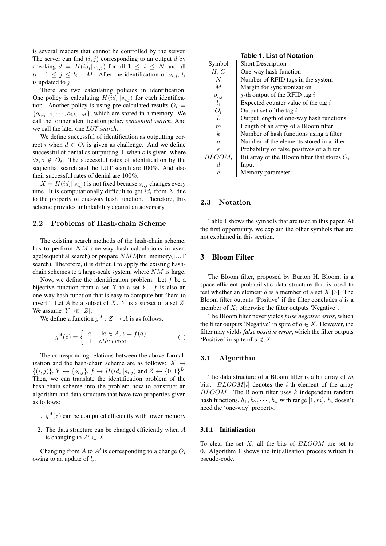is several readers that cannot be controlled by the server. The server can find  $(i, j)$  corresponding to an output d by checking  $d = H(id_i||s_{i,j})$  for all  $1 \leq i \leq N$  and all  $l_i + 1 \leq j \leq l_i + M$ . After the identification of  $o_{i,j}$ ,  $l_i$ is updated to  $j$ .

There are two calculating policies in identification. One policy is calculating  $H(id_i||s_{i,j})$  for each identification. Another policy is using pre-calculated results  $O_i$  =  ${o_{i,l_i+1}, \dots, o_{i,l_i+M}}$ , which are stored in a memory. We call the former identification policy *sequential search*. And we call the later one *LUT search*.

We define successful of identification as outputting correct i when  $d \in O_i$  is given as challenge. And we define successful of denial as outputting  $\perp$  when *o* is given, where  $\forall i, o \notin O_i$ . The successful rates of identification by the sequential search and the LUT search are 100%. And also their successful rates of denial are 100%.

 $X = H(id_i||s_{i,j})$  is not fixed because  $s_{i,j}$  changes every time. It is computationally difficult to get id*<sup>i</sup>* from X due to the property of one-way hash function. Therefore, this scheme provides unlinkability against an adversary.

## **2.2 Problems of Hash-chain Scheme**

The existing search methods of the hash-chain scheme, has to perform  $NM$  one-way hash calculations in average(sequential search) or prepare  $NML[bit]$  memory(LUT search). Therefore, it is difficult to apply the existing hashchain schemes to a large-scale system, where NM is large.

Now, we define the identification problem. Let  $f$  be a bijective function from a set  $X$  to a set  $Y$ .  $f$  is also an one-way hash function that is easy to compute but "hard to invert". Let A be a subset of X. Y is a subset of a set  $Z$ . We assume  $|Y| \ll |Z|$ .

We define a function  $g^A: Z \to A$  is as follows.

$$
g^{A}(z) = \begin{cases} a & \exists a \in A, z = f(a) \\ \bot & otherwise \end{cases}
$$
 (1)

The corresponding relations between the above formalization and the hash-chain scheme are as follows:  $X \leftrightarrow$  $\{(i, j)\}\$ ,  $Y \leftrightarrow \{o_{i,j}\}\$ ,  $f \leftrightarrow H(id_i||s_{i,j})$  and  $Z \leftrightarrow \{0, 1\}^L$ . Then, we can translate the identification problem of the hash-chain scheme into the problem how to construct an algorithm and data structure that have two properties given as follows:

- 1.  $g<sup>A</sup>(z)$  can be computed efficiently with lower memory
- 2. The data structure can be changed efficiently when  $A$ is changing to  $A' \subset X$

Changing from  $A$  to  $A'$  is corresponding to a change  $O_i$ owing to an update of l*i*.

**Table 1. List of Notation**

| Symbol           | <b>Short Description</b>                        |
|------------------|-------------------------------------------------|
| H, G             | One-way hash function                           |
| N                | Number of RFID tags in the system               |
| M                | Margin for synchronization                      |
| $o_{i,j}$        | <i>j</i> -th output of the RFID tag $i$         |
| $l_i$            | Expected counter value of the tag $i$           |
| $O_i$            | Output set of the tag $i$                       |
| L                | Output length of one-way hash functions         |
| m                | Length of an array of a Bloom filter            |
| $\boldsymbol{k}$ | Number of hash functions using a filter         |
| $\boldsymbol{n}$ | Number of the elements stored in a filter       |
| $\epsilon$       | Probability of false positives of a filter      |
| $BLOOM_i$        | Bit array of the Bloom filter that stores $O_i$ |
| d.               | Input                                           |
| $\epsilon$       | Memory parameter                                |

## **2.3 Notation**

Table 1 shows the symbols that are used in this paper. At the first opportunity, we explain the other symbols that are not explained in this section.

#### **3 Bloom Filter**

The Bloom filter, proposed by Burton H. Bloom, is a space-efficient probabilistic data structure that is used to test whether an element d is a member of a set  $X$  [3]. The Bloom filter outputs 'Positive' if the filter concludes  $d$  is a member of  $X$ ; otherwise the filter outputs 'Negative'.

The Bloom filter never yields *false negative error*, which the filter outputs 'Negative' in spite of  $d \in X$ . However, the filter may yields *false positive error*, which the filter outputs 'Positive' in spite of  $d \notin X$ .

#### **3.1 Algorithm**

The data structure of a Bloom filter is a bit array of  $m$ bits.  $BLOOM[i]$  denotes the *i*-th element of the array  $BLOOM$ . The Bloom filter uses  $k$  independent random hash functions,  $h_1, h_2, \dots, h_k$  with range  $[1, m]$ .  $h_i$  doesn't need the 'one-way' property.

#### **3.1.1 Initialization**

To clear the set  $X$ , all the bits of  $BLOOM$  are set to 0. Algorithm 1 shows the initialization process written in pseudo-code.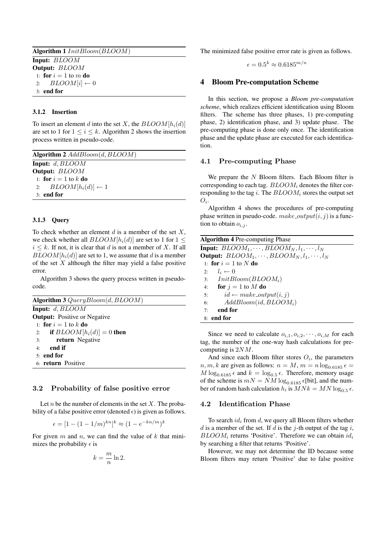| <b>Algorithm 1</b> InitBloom(BLOOM) |  |
|-------------------------------------|--|
| <b>Input:</b> BLOOM                 |  |
| Output: BLOOM                       |  |
| 1: for $i=1$ to m do                |  |
| 2: $BLOOM[i] \leftarrow 0$          |  |
| $3:$ end for                        |  |

## **3.1.2 Insertion**

To insert an element d into the set X, the  $BLOOM[h_i(d)]$ are set to 1 for  $1 \le i \le k$ . Algorithm 2 shows the insertion process written in pseudo-code.

| Algorithm $2$ $Add Bloom(d, BLOOM)$ |  |
|-------------------------------------|--|
| <b>Input:</b> $d$ , $BLOOM$         |  |
| Output: <b>BLOOM</b>                |  |
| 1: for $i=1$ to k do                |  |
| 2: $BLOOM[h_i(d)] \leftarrow 1$     |  |
| $3:$ end for                        |  |

## **3.1.3 Query**

To check whether an element  $d$  is a member of the set  $X$ , we check whether all  $BLOOM[h_i(d)]$  are set to 1 for 1 <  $i \leq k$ . If not, it is clear that d is not a member of X. If all  $BLOOM[h_i(d)]$  are set to 1, we assume that d is a member of the set  $X$  although the filter may yield a false positive error.

Algorithm 3 shows the query process written in pseudocode.

| Algorithm $3$ QueryBloom $(d, BLOOM)$ |  |
|---------------------------------------|--|
| <b>Input:</b> $d, BLOOM$              |  |
| <b>Output:</b> Positive or Negative   |  |
| 1: for $i=1$ to k do                  |  |
| 2: if $BLOOM[h_i(d)] = 0$ then        |  |
| return Negative<br>3:                 |  |
| $4:$ end if                           |  |
| $51$ end for                          |  |
| 6: return Positive                    |  |

#### **3.2 Probability of false positive error**

Let *n* be the number of elements in the set  $X$ . The probability of a false positive error (denoted  $\epsilon$ ) is given as follows.

$$
\epsilon = [1 - (1 - 1/m)^{kn}]^k \approx (1 - e^{-kn/m})^k
$$

For given  $m$  and  $n$ , we can find the value of  $k$  that minimizes the probability  $\epsilon$  is

$$
k = \frac{m}{n} \ln 2.
$$

The minimized false positive error rate is given as follows.

$$
\epsilon = 0.5^k \approx 0.6185^{m/n}
$$

## **4 Bloom Pre-computation Scheme**

In this section, we propose a *Bloom pre-computation scheme*, which realizes efficient identification using Bloom filters. The scheme has three phases, 1) pre-computing phase, 2) identification phase, and 3) update phase. The pre-computing phase is done only once. The identification phase and the update phase are executed for each identification.

## **4.1 Pre-computing Phase**

We prepare the  $N$  Bloom filters. Each Bloom filter is corresponding to each tag. BLOOM*<sup>i</sup>* denotes the filter corresponding to the tag i. The BLOOM*<sup>i</sup>* stores the output set  $O_i$ .

Algorithm 4 shows the procedures of pre-computing phase written in pseudo-code.  $make\_output(i, j)$  is a function to obtain  $o_{i,j}$ .

| <b>Algorithm 4</b> Pre-computing Phase                      |
|-------------------------------------------------------------|
| <b>Input:</b> $BLOOM_1, \dots, BLOOM_N, l_1, \dots, l_N$    |
| <b>Output:</b> $BLOOM_1, \cdots, BLOOM_N, l_1, \cdots, l_N$ |
| 1: for $i = 1$ to N do                                      |
| 2: $l_i \leftarrow 0$                                       |
| 3: $Init Bloom(BLOOM_i)$                                    |
| 4: for $j = 1$ to M do                                      |
| $id \leftarrow make\_output(i, j)$<br>5:                    |
| $Add Bloom(id, BLOOM_i)$<br>6:                              |
| end for<br>7:                                               |
| 8: end for                                                  |

Since we need to calculate  $o_{i,1}, o_{i,2}, \cdots, o_{i,M}$  for each tag, the number of the one-way hash calculations for precomputing is 2NM.

And since each Bloom filter stores  $O_i$ , the parameters  $n, m, k$  are given as follows:  $n = M, m = n \log_{0.6185} \epsilon =$  $M \log_{0.6185} \epsilon$  and  $k = \log_{0.5} \epsilon$ . Therefore, memory usage of the scheme is  $mN = NM \log_{0.6185} \epsilon$ [bit], and the number of random hash calculation  $h_i$  is  $MNk = MN \log_{0.5} \epsilon$ .

## **4.2 Identification Phase**

To search id*<sup>i</sup>* from d, we query all Bloom filters whether  $d$  is a member of the set. If  $d$  is the j-th output of the tag  $i$ ,  $BLOOM_i$  returns 'Positive'. Therefore we can obtain  $id_i$ by searching a filter that returns 'Positive'.

However, we may not determine the ID because some Bloom filters may return 'Positive' due to false positive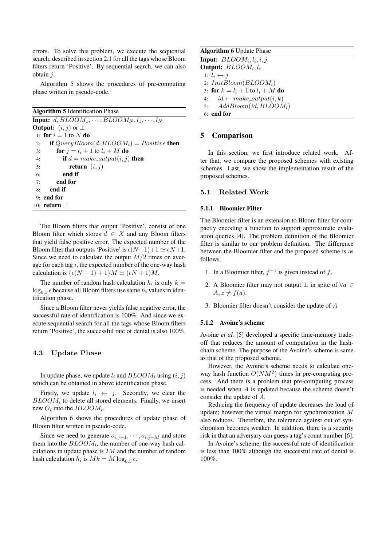errors. To solve this problem, we execute the sequential search, described in section 2.1 for all the tags whose Bloom filters return 'Positive'. By sequential search, we can also obtain j.

Algorithm 5 shows the procedures of pre-computing phase written in pseudo-code.

**Algorithm 5** Identification Phase

**Input:**  $d, BLOOM_1, \cdots, BLOOM_N, l_1, \cdots, l_N$ **Output:**  $(i, j)$  or  $\perp$ 1: **for**  $i = 1$  to N **do**<br>2: **if** *QueruBloor* 2: **if**  $QueryBloom(d, BLOOM_i) = Positive$  **then**<br>3: **for**  $j = l_i + 1$  to  $l_i + M$  **do** 3: **for**  $j = l_i + 1$  to  $l_i + M$  **do**<br>4: **if**  $d = make\_output(i, i)$ 4: **if**  $d = make\_output(i, j)$  **then**<br>5: **return**  $(i, j)$ 5: **return**  $(i, j)$ <br>6: **end if** 6: **end if** 7: **end for** 8: **end if** 9: **end for** 10: **return** ⊥

The Bloom filters that output 'Positive', consist of one Bloom filter which stores  $d \in X$  and any Bloom filters that yield false positive error. The expected number of the Bloom filter that outputs 'Positive' is  $\epsilon(N-1)+1 \simeq \epsilon N+1$ . Since we need to calculate the output  $M/2$  times on average for each tag  $i$ , the expected number of the one-way hash calculation is  $\{\epsilon(N - 1) + 1\}M \simeq (\epsilon N + 1)M$ .

The number of random hash calculation  $h_i$  is only  $k =$  $\log_{0.5} \epsilon$  because all Bloom filters use same  $h_i$  values in identification phase.

Since a Bloom filter never yields false negative error, the successful rate of identification is 100%. And since we execute sequential search for all the tags whose Bloom filters return 'Positive', the successful rate of denial is also 100%.

## **4.3 Update Phase**

In update phase, we update  $l_i$  and  $BLOOM_i$  using  $(i, j)$ which can be obtained in above identification phase.

Firstly, we update  $l_i \leftarrow j$ . Secondly, we clear the  $BLOOM<sub>i</sub>$  to delete all stored elements. Finally, we insert new  $O_i$  into the  $BLOOM_i$ .

Algorithm 6 shows the procedures of update phase of Bloom filter written in pseudo-code.

Since we need to generate  $o_{i,j+1}, \dots, o_{i,j+M}$  and store them into the  $BLOOM_i$ , the number of one-way hash calculations in update phase is  $2M$  and the number of random hash calculation  $h_i$  is  $Mk = M \log_{0.5} \epsilon$ .

**Algorithm 6** Update Phase **Input:**  $BLOOM_i, l_i, i, j$ **Output:** BLOOM*i*, l*<sup>i</sup>* 1:  $l_i \leftarrow j$ 2: InitBloom(BLOOM*i*) 3: **for**  $k = l_i + 1$  to  $l_i + M$  **do**<br>4:  $id \leftarrow make\_output(i, k)$ 4:  $id \leftarrow make\_output(i, k)$ <br>5:  $Add Bloom(id, BLOON)$ 5: AddBloom(id, BLOOM*i*) 6: **end for**

## **5 Comparison**

In this section, we first introduce related work. After that, we compare the proposed schemes with existing schemes. Last, we show the implementation result of the proposed schemes.

#### **5.1 Related Work**

#### **5.1.1 Bloomier Filter**

The Bloomier filter is an extension to Bloom filter for compactly encoding a function to support approximate evaluation queries [4]. The problem definition of the Bloomier filter is similar to our problem definition. The difference between the Bloomier filter and the proposed scheme is as follows.

- 1. In a Bloomier filter,  $f^{-1}$  is given instead of f.
- 2. A Bloomier filter may not output  $\bot$  in spite of  $\forall a \in \mathcal{A}$  $A, z \neq f(a).$
- 3. Bloomier filter doesn't consider the update of A

#### **5.1.2 Avoine's scheme**

Avoine *et al.* [5] developed a specific time-memory tradeoff that reduces the amount of computation in the hashchain scheme. The purpose of the Avoine's scheme is same as that of the proposed scheme.

However, the Avoine's scheme needs to calculate oneway hash function  $O(NM^2)$  times in pre-computing process. And there is a problem that pre-computing process is needed when A is updated because the scheme doesn't consider the update of A.

Reducing the frequency of update decreases the load of update; however the virtual margin for synchronization M also reduces. Therefore, the tolerance against out of synchronism becomes weaker. In addition, there is a security risk in that an adversary can guess a tag's count number [6].

In Avoine's scheme, the successful rate of identification is less than 100% although the successful rate of denial is 100%.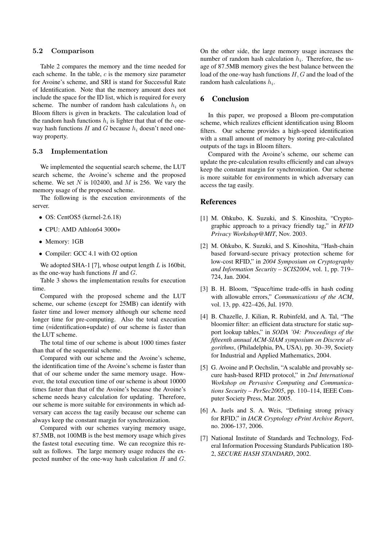#### **5.2 Comparison**

Table 2 compares the memory and the time needed for each scheme. In the table,  $c$  is the memory size parameter for Avoine's scheme, and SRI is stand for Successful Rate of Identification. Note that the memory amount does not include the space for the ID list, which is required for every scheme. The number of random hash calculations h*<sup>i</sup>* on Bloom filters is given in brackets. The calculation load of the random hash functions  $h_i$  is lighter that that of the oneway hash functions  $H$  and  $G$  because  $h_i$  doesn't need oneway property.

#### **5.3 Implementation**

We implemented the sequential search scheme, the LUT search scheme, the Avoine's scheme and the proposed scheme. We set  $N$  is 102400, and  $M$  is 256. We vary the memory usage of the proposed scheme.

The following is the execution environments of the server.

- OS: CentOS5 (kernel-2.6.18)
- CPU: AMD Athlon64 3000+
- Memory: 1GB
- Compiler: GCC 4.1 with O2 option

We adopted SHA-1 [7], whose output length  $L$  is 160bit, as the one-way hash functions  $H$  and  $G$ .

Table 3 shows the implementation results for execution time.

Compared with the proposed scheme and the LUT scheme, our scheme (except for 25MB) can identify with faster time and lower memory although our scheme need longer time for pre-computing. Also the total execution time (=identification+update) of our scheme is faster than the LUT scheme.

The total time of our scheme is about 1000 times faster than that of the sequential scheme.

Compared with our scheme and the Avoine's scheme, the identification time of the Avoine's scheme is faster than that of our scheme under the same memory usage. However, the total execution time of our scheme is about 10000 times faster than that of the Avoine's because the Avoine's scheme needs heavy calculation for updating. Therefore, our scheme is more suitable for environments in which adversary can access the tag easily because our scheme can always keep the constant margin for synchronization.

Compared with our schemes varying memory usage, 87.5MB, not 100MB is the best memory usage which gives the fastest total executing time. We can recognize this result as follows. The large memory usage reduces the expected number of the one-way hash calculation  $H$  and  $G$ . On the other side, the large memory usage increases the number of random hash calculation h*i*. Therefore, the usage of 87.5MB memory gives the best balance between the load of the one-way hash functions H, G and the load of the random hash calculations h*i*.

## **6 Conclusion**

In this paper, we proposed a Bloom pre-computation scheme, which realizes efficient identification using Bloom filters. Our scheme provides a high-speed identification with a small amount of memory by storing pre-calculated outputs of the tags in Bloom filters.

Compared with the Avoine's scheme, our scheme can update the pre-calculation results efficiently and can always keep the constant margin for synchronization. Our scheme is more suitable for environments in which adversary can access the tag easily.

## **References**

- [1] M. Ohkubo, K. Suzuki, and S. Kinoshita, "Cryptographic approach to a privacy friendly tag," in *RFID Privacy Workshop@MIT*, Nov. 2003.
- [2] M. Ohkubo, K. Suzuki, and S. Kinoshita, "Hash-chain based forward-secure privacy protection scheme for low-cost RFID," in *2004 Symposium on Cryptography and Information Security – SCIS2004*, vol. 1, pp. 719– 724, Jan. 2004.
- [3] B. H. Bloom, "Space/time trade-offs in hash coding with allowable errors," *Communications of the ACM*, vol. 13, pp. 422–426, Jul. 1970.
- [4] B. Chazelle, J. Kilian, R. Rubinfeld, and A. Tal, "The bloomier filter: an efficient data structure for static support lookup tables," in *SODA '04: Proceedings of the fifteenth annual ACM-SIAM symposium on Discrete algorithms*, (Philadelphia, PA, USA), pp. 30–39, Society for Industrial and Applied Mathematics, 2004.
- [5] G. Avoine and P. Oechslin, "A scalable and provably secure hash-based RFID protocol," in *2nd International Workshop on Pervasive Computing and Communications Security – PerSec2005*, pp. 110–114, IEEE Computer Society Press, Mar. 2005.
- [6] A. Juels and S. A. Weis, "Defining strong privacy for RFID," in *IACR Cryptology ePrint Archive Report*, no. 2006-137, 2006.
- [7] National Institute of Standards and Technology, Federal Information Processing Standards Publication 180- 2, *SECURE HASH STANDARD*, 2002.